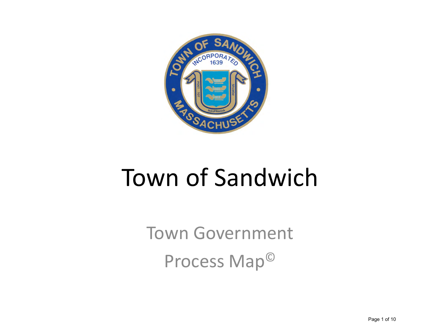

### Town of Sandwich

Town Government Process Map©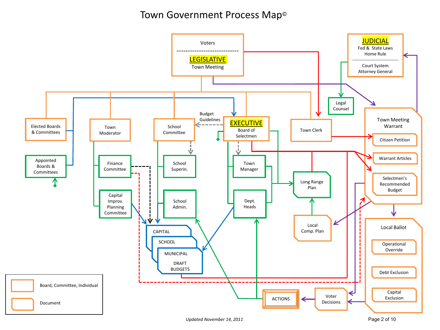#### Town Government Process Map©



í

í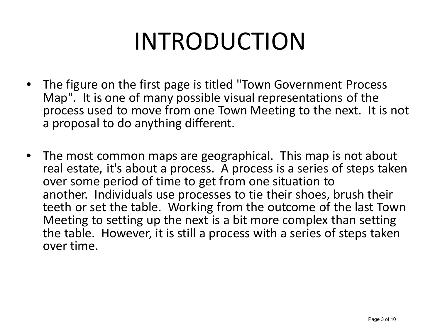# INTRODUCTION

- The figure on the first page is titled "Town Government Process Map". It is one of many possible visual representations of the process used to move from one Town Meeting to the next. It is not a proposal to do anything different.
- The most common maps are geographical. This map is not about real estate, it's about a process. A process is a series of steps taken over some period of time to get from one situation to another. Individuals use processes to tie their shoes, brush their teeth or set the table. Working from the outcome of the last Town Meeting to setting up the next is a bit more complex than setting the table. However, it is still a process with a series of steps taken over time.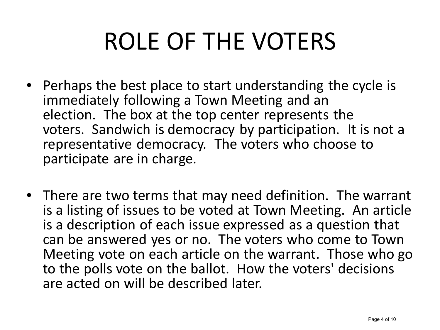# ROLE OF THE VOTERS

- Perhaps the best place to start understanding the cycle is immediately following a Town Meeting and an election. The box at the top center represents the voters. Sandwich is democracy by participation. It is not a representative democracy. The voters who choose to participate are in charge.
- There are two terms that may need definition. The warrant is a listing of issues to be voted at Town Meeting. An article is a description of each issue expressed as a question that can be answered yes or no. The voters who come to Town Meeting vote on each article on the warrant. Those who go to the polls vote on the ballot. How the voters' decisions are acted on will be described later.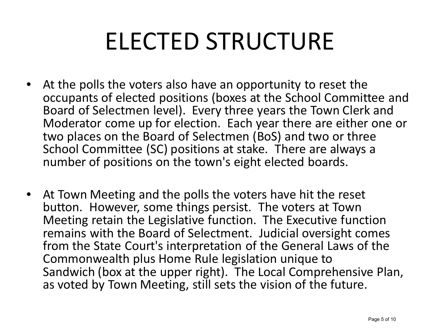# ELECTED STRUCTURE

- At the polls the voters also have an opportunity to reset the occupants of elected positions (boxes at the School Committee and Board of Selectmen level). Every three years the Town Clerk and Moderator come up for election. Each year there are either one or two places on the Board of Selectmen (BoS) and two or three School Committee (SC) positions at stake. There are always a number of positions on the town's eight elected boards.
- At Town Meeting and the polls the voters have hit the reset button. However, some things persist. The voters at Town Meeting retain the Legislative function. The Executive function remains with the Board of Selectment. Judicial oversight comes from the State Court's interpretation of the General Laws of the Commonwealth plus Home Rule legislation unique to Sandwich (box at the upper right). The Local Comprehensive Plan, as voted by Town Meeting, still sets the vision of the future.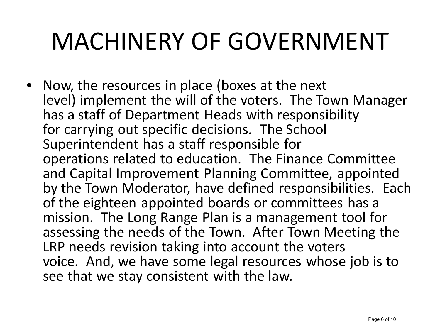## MACHINERY OF GOVERNMENT

• Now, the resources in place (boxes at the next level) implement the will of the voters. The Town Manager has a staff of Department Heads with responsibility for carrying out specific decisions. The School Superintendent has a staff responsible for operations related to education. The Finance Committee and Capital Improvement Planning Committee, appointed by the Town Moderator, have defined responsibilities. Each of the eighteen appointed boards or committees has a mission. The Long Range Plan is a management tool for assessing the needs of the Town. After Town Meeting the LRP needs revision taking into account the voters voice. And, we have some legal resources whose job is to see that we stay consistent with the law.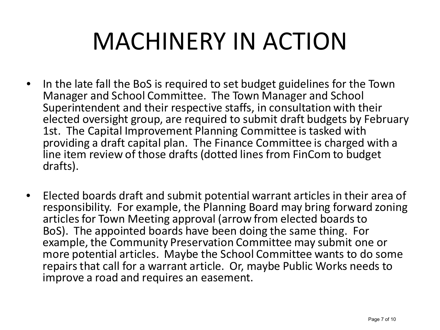## MACHINERY IN ACTION

- In the late fall the BoS is required to set budget guidelines for the Town Manager and School Committee. The Town Manager and School Superintendent and their respective staffs, in consultation with their elected oversight group, are required to submit draft budgets by February 1st. The Capital Improvement Planning Committee is tasked with providing a draft capital plan. The Finance Committee is charged with a line item review of those drafts (dotted lines from FinCom to budget drafts).
- Elected boards draft and submit potential warrant articles in their area of responsibility. For example, the Planning Board may bring forward zoning articles for Town Meeting approval (arrow from elected boards to BoS). The appointed boards have been doing the same thing. For example, the Community Preservation Committee may submit one or more potential articles. Maybe the School Committee wants to do some repairs that call for a warrant article. Or, maybe Public Works needs to improve a road and requires an easement.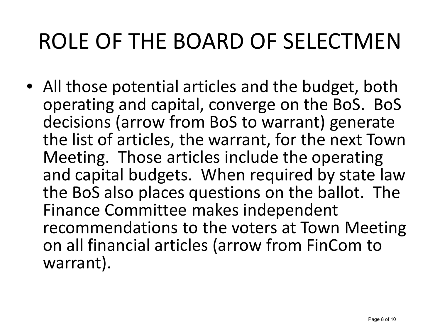#### ROLE OF THE BOARD OF SELECTMEN

• All those potential articles and the budget, both operating and capital, converge on the BoS. BoS decisions (arrow from BoS to warrant) generate the list of articles, the warrant, for the next Town Meeting. Those articles include the operating and capital budgets. When required by state law the BoS also places questions on the ballot. The Finance Committee makes independent recommendations to the voters at Town Meeting on all financial articles (arrow from FinCom to warrant).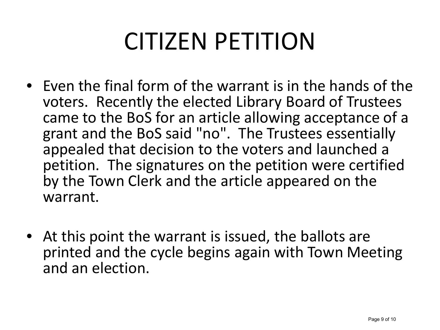# CITIZEN PETITION

- Even the final form of the warrant is in the hands of the voters. Recently the elected Library Board of Trustees came to the BoS for an article allowing acceptance of a grant and the BoS said "no". The Trustees essentially appealed that decision to the voters and launched a petition. The signatures on the petition were certified by the Town Clerk and the article appeared on the warrant.
- At this point the warrant is issued, the ballots are printed and the cycle begins again with Town Meeting and an election.